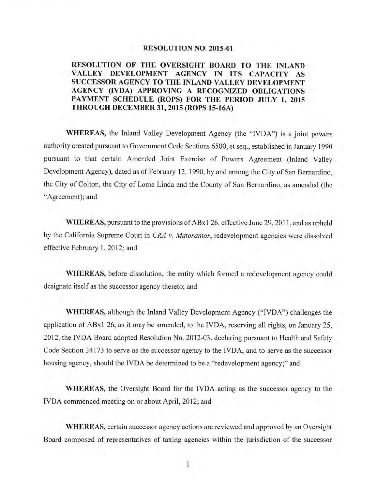#### **RESOLUTION NO. 2015-01**

### **RESOLUTION OF THE OVERSIGHT BOARD TO THE INLAND VALLEY DEVELOPMENT AGENCY IN ITS CAPACITY AS SUCCESSOR AGENCY TO THE INLAND VALLEY DEVELOPMENT AGENCY (IVDA) APPROVING A RECOGNIZED OBLIGATIONS PAYMENT SCHEDULE (ROPS) FOR THE PERIOD JULY 1, 2015 THROUGH DECEMBER 31, 2015 (ROPS 15-16A)**

**WHEREAS,** the Inland Valley Development Agency (the "IVDA") is a joint powers authority created pursuant to Government Code Sections 6500, et seq., established in January 1990 pursuant to that certain Amended Joint Exercise of Powers Agreement (Inland Valley Development Agency), dated as of February 12, 1990, by and among the City of San Bernardino, the City of Colton, the City of Lorna Linda and the County of San Bernardino, as amended (the "Agreement); and

**WHEREAS,** pursuant to the provisions of ABxl 26, effective June 29, 2011, and as upheld by the California Supreme Court in *CRA v. Matosantos,* redevelopment agencies were dissolved effective February 1, 2012; and

**WHEREAS,** before dissolution, the entity which formed a redevelopment agency could designate itself as the successor agency thereto; and

**WHEREAS,** although the Inland Valley Development Agency ("IVDA") challenges the application of ABx 1 26, as it may be amended, to the IVDA, reserving all rights, on January 25, 2012, the IVDA Board adopted Resolution No. 2012-03, declaring pursuant to Health and Safety Code Section 34173 to serve as the successor agency to the IVDA, and to serve as the successor housing agency, should the IVDA be determined to be a "redevelopment agency;" and

**WHEREAS,** the Oversight Board for the IVDA acting as the successor agency to the IVDA commenced meeting on or about April, 2012; and

**WHEREAS,** certain successor agency actions are reviewed and approved by an Oversight Board composed of representatives of taxing agencies within the jurisdiction of the successor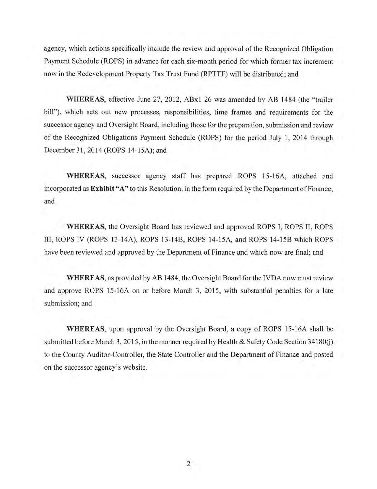agency, which actions specifically include the review and approval of the Recognized Obligation Payment Schedule (ROPS) in advance for each six-month period for which former tax increment now in the Redevelopment Property Tax Trust Fund (RPTTF) will be distributed; and

**WHEREAS,** effective June 27, 2012, ABxl 26 was amended by AB 1484 (the "trailer bill"), which sets out new processes, responsibilities, time frames and requirements for the successor agency and Oversight Board, including those for the preparation, submission and review of the Recognized Obligations Payment Schedule (ROPS) for the period July 1, 2014 through December 31,2014 (ROPS 14-15A); and

**WHEREAS,** successor agency staff has prepared ROPS 15-16A, attached and incorporated as **Exhibit "A"** to this Resolution, in the form required by the Department of Finance; and

**WHEREAS,** the Oversight Board has reviewed and approved ROPS I, ROPS II, ROPS III, ROPS IV (ROPS 13-14A), ROPS 13-14B, ROPS 14-15A, and ROPS 14-15B which ROPS have been reviewed and approved by the Department of Finance and which now are final; and

**WHEREAS,** as provided by AB 1484, the Oversight Board for the TVDA now must review and approve ROPS 15-16A on or before March 3, 2015, with substantial penalties for a late submission; and

**WHEREAS,** upon approval by the Oversight Board, a copy of ROPS 15-16A shall be submitted before March 3, 2015, in the manner required by Health & Safety Code Section  $34180(i)$ to the County Auditor-Controller, the State Controller and the Department of Finance and posted on the successor agency's website.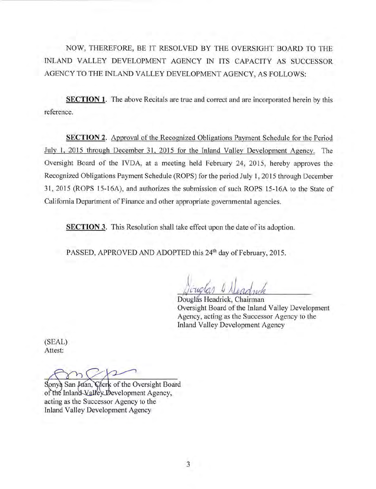NOW, THEREFORE, BE IT RESOLVED BY THE OVERSIGHT BOARD TO THE INLAND VALLEY DEVELOPMENT AGENCY IN ITS CAPACITY AS SUCCESSOR AGENCY TO THE INLAND VALLEY DEVELOPMENT AGENCY, AS FOLLOWS:

**SECTION 1.** The above Recitals are true and correct and are incorporated herein by this reference.

**SECTION 2.** Approval of the Recognized Obligations Payment Schedule for the Period July 1, 2015 through December 31, 2015 for the Inland Valley Development Agency. The Oversight Board of the IVDA, at a meeting held February 24, 2015, hereby approves the Recognized Obligations Payment Schedule (ROPS) for the period July 1, 2015 through December 31, 2015 (ROPS 15-16A), and authorizes the submission of such ROPS 15-16A to the State of California Department of Finance and other appropriate governmental agencies.

**SECTION 3.** This Resolution shall take effect upon the date of its adoption.

PASSED, APPROVED AND ADOPTED this 24<sup>th</sup> day of February, 2015.

Douglás Headrick, Chairman Oversight Board of the Inland Valley Development Agency, acting as the Successor Agency to the **Inland Valley Development Agency** 

(SEAL) Attest:

Clerk of the Oversight Board Sonya San Juan, of the Inland Valley Development Agency, acting as the Successor Agency to the Inland Valley Development Agency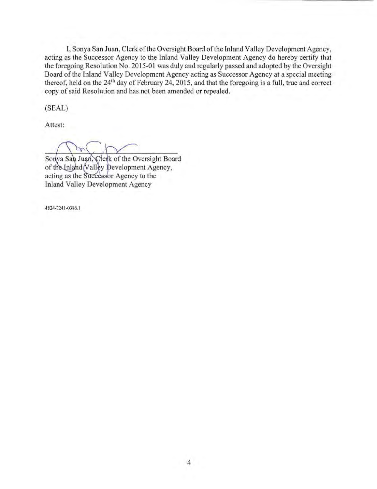I, Sonya San Juan, Clerk of the Oversight Board of the Inland Valley Development Agency, acting as the Successor Agency to the Inland Valley Development Agency do hereby certify that the foregoing Resolution No. 2015-01 was duly and regularly passed and adopted by the Oversight Board of the Inland Valley Development Agency acting as Successor Agency at a special meeting thereof, held on the 24<sup>th</sup> day of February 24, 2015, and that the foregoing is a full, true and correct copy of said Resolution and has not been amended or repealed.

(SEAL)

Attest:

Sonya San Juan, Clerk of the Oversight Board of the Inland (Valley Development Agency, acting as the Successor Agency to the Inland Valley Development Agency

4824-7241 -0386. 1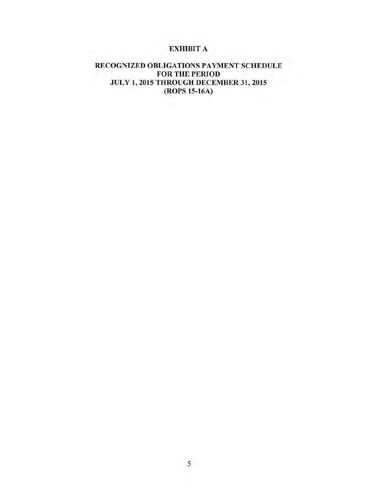# EXHIBIT A

### RECOGNIZED OBLIGATIONS PAYMENT SCHEDULE FOR THE PERIOD JULY 1, 2015 THROUGH DECEMBER 31,2015 (ROPS 15-16A)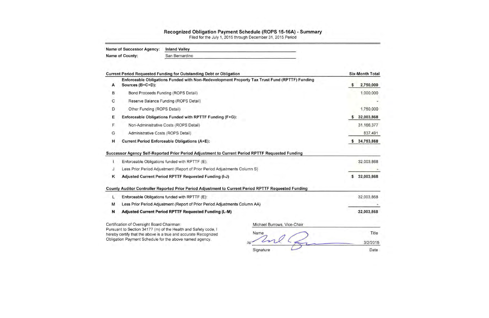#### Recognized Obligation Payment Schedule (ROPS 15-16A) - Summary

|   | <b>Name of Successor Agency:</b>           | <b>Inland Valley</b>                                                                                                                                                                         |                                                                                                      |         |     |
|---|--------------------------------------------|----------------------------------------------------------------------------------------------------------------------------------------------------------------------------------------------|------------------------------------------------------------------------------------------------------|---------|-----|
|   | Name of County:                            | San Bernardino                                                                                                                                                                               |                                                                                                      |         |     |
|   |                                            | Current Period Requested Funding for Outstanding Debt or Obligation                                                                                                                          |                                                                                                      | Six-Mor |     |
| Α | Sources (B+C+D):                           |                                                                                                                                                                                              | Enforceable Obligations Funded with Non-Redevelopment Property Tax Trust Fund (RPTTF) Funding        |         | 2   |
| B |                                            | Bond Proceeds Funding (ROPS Detail)                                                                                                                                                          |                                                                                                      |         |     |
| C |                                            | Reserve Balance Funding (ROPS Detail)                                                                                                                                                        |                                                                                                      |         |     |
| D | Other Funding (ROPS Detail)                |                                                                                                                                                                                              |                                                                                                      |         | 1,  |
| Е |                                            | Enforceable Obligations Funded with RPTTF Funding (F+G):                                                                                                                                     |                                                                                                      | \$      | 32  |
| F |                                            | Non-Administrative Costs (ROPS Detail)                                                                                                                                                       |                                                                                                      |         | 31  |
| G | Administrative Costs (ROPS Detail)         |                                                                                                                                                                                              |                                                                                                      |         |     |
| н |                                            | <b>Current Period Enforceable Obligations (A+E):</b>                                                                                                                                         |                                                                                                      | \$34    |     |
|   |                                            | Successor Agency Self-Reported Prior Period Adjustment to Current Period RPTTF Requested Funding<br>Enforceable Obligations funded with RPTTF (E):                                           |                                                                                                      |         | 32  |
| J |                                            | Less Prior Period Adjustment (Report of Prior Period Adjustments Column S)                                                                                                                   |                                                                                                      |         |     |
| κ |                                            | Adjusted Current Period RPTTF Requested Funding (I-J)                                                                                                                                        |                                                                                                      | S       | 32  |
|   |                                            |                                                                                                                                                                                              | County Auditor Controller Reported Prior Period Adjustment to Current Period RPTTF Requested Funding |         |     |
| L |                                            | Enforceable Obligations funded with RPTTF (E):                                                                                                                                               |                                                                                                      |         | 32, |
| м |                                            | Less Prior Period Adjustment (Report of Prior Period Adjustments Column AA)                                                                                                                  |                                                                                                      |         |     |
| N |                                            | Adjusted Current Period RPTTF Requested Funding (L-M)                                                                                                                                        |                                                                                                      |         | 32, |
|   | Certification of Oversight Board Chairman: | Pursuant to Section 34177 (m) of the Health and Safety code, I<br>hereby certify that the above is a true and accurate Recognized<br>Obligation Payment Schedule for the above named agency. | Michael Burrows, Vice-Chair<br>Name<br>Signature                                                     |         |     |

Filed for the July 1, 2015 through December 31 , 2015 Period

| <b>Six-Month Total</b> |
|------------------------|
| \$<br>2,750,000        |
| 1,000,000              |
|                        |
| 1,750,000              |
| \$<br>32,003,868       |
| 31,166,377             |
| 837,491                |
| \$<br>34,753,868       |
| 32,003,868             |
| \$<br>32,003,868       |
| 32,003,868             |
|                        |

32,003,868

Title

3/2/2015

Date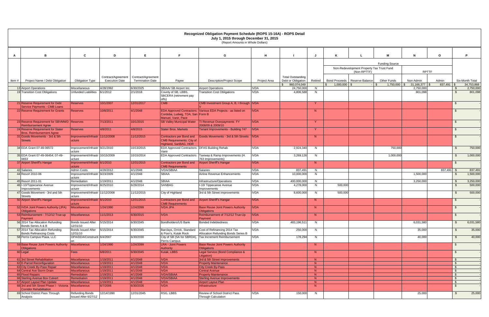|        |                                                                          |                                                |                        |                         |                                                                                              | Recognized Obligation Payment Schedule (ROPS 15-16A) - ROPS Detail<br>July 1, 2015 through December 31, 2015<br>(Report Amounts in Whole Dollars) |                     |                           |              |                            |                                           |                       |              |              |                    |                         |
|--------|--------------------------------------------------------------------------|------------------------------------------------|------------------------|-------------------------|----------------------------------------------------------------------------------------------|---------------------------------------------------------------------------------------------------------------------------------------------------|---------------------|---------------------------|--------------|----------------------------|-------------------------------------------|-----------------------|--------------|--------------|--------------------|-------------------------|
|        |                                                                          |                                                |                        |                         |                                                                                              |                                                                                                                                                   |                     |                           |              |                            |                                           |                       |              |              |                    |                         |
| A      | B                                                                        | C                                              | D                      | E                       |                                                                                              | G                                                                                                                                                 | H                   |                           | IJ           | K                          |                                           | м                     | N            | $\mathbf{o}$ |                    | Þ                       |
|        |                                                                          |                                                |                        |                         |                                                                                              |                                                                                                                                                   |                     |                           |              |                            |                                           | <b>Funding Source</b> |              |              |                    |                         |
|        |                                                                          |                                                |                        |                         |                                                                                              |                                                                                                                                                   |                     |                           |              |                            | Non-Redevelopment Property Tax Trust Fund |                       |              |              |                    |                         |
|        |                                                                          |                                                | Contract/Agreement     | Contract/Agreement      |                                                                                              |                                                                                                                                                   |                     | <b>Total Outstanding</b>  |              |                            | (Non-RPTTF)                               |                       | <b>RPTTF</b> |              |                    |                         |
| Item # | Project Name / Debt Obligation                                           | <b>Obligation Type</b>                         | <b>Execution Date</b>  | <b>Termination Date</b> | Payee                                                                                        | <b>Description/Project Scope</b>                                                                                                                  | <b>Project Area</b> | Debt or Obligation        | Retired      | <b>Bond Proceeds</b>       | Reserve Balance                           | <b>Other Funds</b>    | Non-Admin    | Admin        |                    | Six-Month Total         |
|        | 13 Airport Operations                                                    | Miscellaneous                                  | 4/28/1992              | 6/30/2025               | SBIAA/ SB Airport Inc.                                                                       | <b>Airport Operations</b>                                                                                                                         | <b>IVDA</b>         | 960,074,049<br>24,750,000 | N            | $\mathcal{S}$<br>1,000,000 |                                           | $1,750,000$ \ \$      | 2,750,000    | 837,491      | -\$                | 34,753,868<br>2,750,000 |
|        | 19 Transition Cost Obligations                                           | Unfunded Liabilities                           | 6/1/2012               | 2/1/2018                | County of SB, LBBS,<br>SBCERA (retirement pay<br>offs)                                       | <b>Transition Cost Obligations</b>                                                                                                                | <b>IVDA</b>         | 4,806,588                 | N            |                            |                                           |                       | 801,098      |              | $\mathfrak{L}$     | 801,098                 |
|        | 21 Reserve Requirement for Debt<br>Service Payments - CMB Loans          | <b>Reserves</b>                                | 10/1/2007              | 12/31/2017              | <b>CMB</b>                                                                                   | CMB Investment Group A, B, I through IVDA                                                                                                         |                     |                           | Y.           |                            |                                           |                       |              |              | \$                 |                         |
|        | 22 Reserve Requirement for Grants                                        | <b>Reserves</b>                                | 10/8/2011              | 4/1/2048                | Cordoba, Ludwig, TDA, San Form B<br>Manuel. Vanir. Pace                                      | EDA Approved Contractors: Various EDA Projects - as listed on                                                                                     | <b>IVDA</b>         |                           | N            |                            |                                           |                       |              |              | - \$               |                         |
|        | 23 Reserve Requirement for SBVMWD Reserves<br><b>Reimbursement Agree</b> |                                                | 7/13/2011              | 10/1/2015               |                                                                                              | SB Valley Municipal Water   TI Revenue Overpayments FY<br>2008/09 & 2009/10                                                                       | <b>IVDA</b>         |                           | Y            |                            |                                           |                       |              |              | \$                 |                         |
|        | 24 Reserve Requirement for Stater<br><b>Bros. Reimbursement Agree</b>    | <b>Reserves</b>                                | 4/8/2011               | 4/8/2015                | <b>Stater Bros. Markets</b>                                                                  | Tenant Improvements - Building 747                                                                                                                | <b>IVDA</b>         |                           | $\mathsf{Y}$ |                            |                                           |                       |              |              | \$                 |                         |
|        | 31 Goods Movements - 3rd & 5th<br><b>Streets</b>                         | Improvement/Infrastr 11/12/2008<br>ucture      |                        | 11/12/2015              | <b>Contractors per Bond and</b><br><b>CMB Requirements: City of</b><br>Highland, SanBAG, HDR | Goods Movements - 3rd & 5th Streets                                                                                                               | <b>IVDA</b>         |                           | N            |                            |                                           |                       |              |              | \$                 |                         |
|        | 34 EDA Grant 07-49-06572                                                 | Improvement/Infrastr 9/21/2010<br>ucture       |                        | 10/13/2015              | EDA Approved Contractors: DFAS Building Rehab<br>Vanir                                       |                                                                                                                                                   | <b>IVDA</b>         | 2,924,340                 | N            |                            |                                           | 750,000               |              |              | \$                 | 750,000                 |
|        | 35 EDA Grant 07-49-06454; 07-49-<br>0653                                 | Improvement/Infrastr 10/15/2009<br>ucture      |                        | 10/15/2014              |                                                                                              | EDA Approved Contractors   Taxiway & Ramp Improvements (H.<br>763 Improvements)                                                                   | <b>IVDA</b>         | 3,269,126                 | N            |                            |                                           | 1,000,000             |              |              | \$                 | 1,000,000               |
|        | 37 Airport Sheriff's Hangar                                              | Improvement/Infrastr 6/1/2010<br>ucture        |                        | 12/31/2015              | Contractors per Bond and<br><b>CMB Requirements</b>                                          | <b>Airport Sheriff's Hangar</b>                                                                                                                   | <b>IVDA</b>         |                           | N            |                            |                                           |                       |              |              | $\mathfrak{L}$     |                         |
|        | 42 Salaries                                                              | <b>Admin Costs</b>                             | 4/28/2012              | 4/1/2048                | <b>IVDA/SBIAA</b>                                                                            | <b>Salaries</b>                                                                                                                                   | <b>IVDA</b>         | 837,491                   | N            |                            |                                           |                       |              | 837,491      | - \$               | 837,491                 |
|        | 44 Reso# 2010-06                                                         | Improvement/Infrastr<br>ucture                 | 9/23/2009              | 4/1/2048                | <b>SBIAA</b>                                                                                 | Airline Revenue Enhancements                                                                                                                      | <b>IVDA</b>         | 10,000,000                | N            |                            |                                           |                       | 1,500,000    |              | \$                 | 1,500,000               |
|        | 45 Reso# 2011-01                                                         | Remediation                                    | 1/19/2011              | 4/1/2048                | <b>SBIAA</b>                                                                                 | Infrastructure/Operations                                                                                                                         | <b>IVDA</b>         | 400,000,000               | N            |                            |                                           |                       | 3,250,000    |              |                    | 3,250,000               |
|        | 46 I-10/Tippecanoe Avenue                                                | Improvement/Infrastr                           | 8/25/2010              | 6/28/2014               | <b>SANBAG</b>                                                                                | I-10/ Tippecanoe Avenue                                                                                                                           | <b>IVDA</b>         | 4,278,000                 | N            | 500,000                    |                                           |                       |              |              |                    | 500,000                 |
|        | Improvements<br>47 Goods Movement - 3rd and 5th<br><b>Streets</b>        | ucture<br>Improvement/Infrastr<br>ucture       | 11/12/2008             | 11/12/2015              | City of Highland                                                                             | Improvements<br>3rd & 5th Street Improvements                                                                                                     | <b>IVDA</b>         | 8,600,000                 | N            | 500,000                    |                                           |                       |              |              | \$                 | 500,000                 |
|        | 50 Airport Sheriff's Hangar                                              | Improvement/Infrastr 6/1/2010<br>ucture        |                        | 12/31/2015              | Contractors per Bond and<br><b>CMB Requirements</b>                                          | Airport Sheriff's Hangar                                                                                                                          | <b>IVDA</b>         |                           | N            |                            |                                           |                       |              |              | \$                 |                         |
|        | 52 IVDA Joint Powers Authority (JPA)<br><b>Obligations</b>               | Miscellaneous                                  | 1/24/1990              | 1/24/2099               | <b>IVDA JPA</b>                                                                              | <b>Base Reuse Joint Powers Authority</b><br><b>Obligations</b>                                                                                    | <b>IVDA</b>         |                           | N            |                            |                                           |                       |              |              |                    |                         |
|        | 53 Reimbursement - 7/12/12 True-up<br>Payment                            | <b>Miscellaneous</b>                           | 11/1/2013              | 6/30/2015               | <b>IVDA</b>                                                                                  | Reimbursement of 7/12/12 True-Up<br>Payment                                                                                                       | <b>IVDA</b>         |                           | N            |                            |                                           |                       |              |              | \$                 |                         |
|        | 56 2014 Tax Allocation Refunding<br>Bonds Series A & B                   | <b>Bonds Issued After</b><br>12/31/10          | 5/15/2014              | 6/30/2045               | Bondholders/US Bank                                                                          | <b>Bonded Indebtedness</b>                                                                                                                        | <b>IVDA</b>         | 483,196,511               | N            |                            |                                           |                       | 6,031,580    |              | \$                 | 6,031,580               |
|        | 57 2014 Tax Allocation Refunding<br><b>Bonds Refinancing Costs</b>       | <b>Bonds Issued After</b><br>12/31/10          | 5/15/2014              | 6/30/2045               | Barclays, Orrick, Standard<br>& Poor's, Kutak Rock                                           | Cost of Refinancing 2014 Tax<br>Allocation Refunding Bonds Series B                                                                               | <b>IVDA</b>         | 250,000                   | N            |                            |                                           |                       | 35,000       |              | \$                 | 35,000                  |
|        | 58 Perris Campus Plaza, LLC                                              | OPA/DDA/Constructi 6/4/2007                    |                        | 6/30/2030               | Perris Campus                                                                                | City of SB (SA for SBRDA), Tax Increment Reimbursement                                                                                            | <b>IVDA</b>         | 178,294                   | N            |                            |                                           |                       | 40,000       |              | \$                 | 40,000                  |
|        | 59 Base Reuse Joint Powers Authority<br><b>Obligations</b>               | <b>Miscellaneous</b>                           | 1/24/1990              | 1/24/2099               | <b>LRA</b> - Joint Powers<br><b>Authority</b>                                                | <b>Base Reuse Joint Powers Authority</b><br><b>Obligations</b>                                                                                    |                     |                           | N            |                            |                                           |                       |              |              | \$                 |                         |
|        | 60 Legal                                                                 | Fees                                           | 6/8/2011               | 6/30/2045               | Kutak, LBBS                                                                                  | Legal Service (Bond Compliance &<br>Litigation)                                                                                                   |                     |                           | N            |                            |                                           |                       |              |              | \$                 |                         |
|        | 61 3rd Street Rehabilitation<br>62 E-Parcel Reconfiguration              | <b>Miscellaneous</b><br>Miscellaneous          | 1/19/2011<br>1/19/2011 | 4/1/2048<br>4/1/2048    | <b>IVDA</b><br><b>IVDA</b>                                                                   | 3rd & 5th Street Improvements<br><b>Property Maintenance</b>                                                                                      |                     |                           | N<br>N       |                            |                                           |                       |              |              | -\$<br>\$          |                         |
|        | 63 City Creek By-Pass Repair                                             | <b>Miscellaneous</b>                           | 1/19/2011              | 4/1/2048                | <b>IVDA</b>                                                                                  | <b>City Creek By-Pass</b>                                                                                                                         |                     |                           | N            |                            |                                           |                       |              |              | $\mathbf{\hat{s}}$ |                         |
|        | 64 Central Ave Storm Drain                                               | <b>Miscellaneous</b>                           | 1/19/2011              | 4/1/2048                | <b>IVDA</b>                                                                                  | <b>Central Avenue</b>                                                                                                                             |                     |                           | N            |                            |                                           |                       |              |              | $\mathfrak{S}$     |                         |
|        | 65 Flood Repairs                                                         | Remediation                                    | 1/19/2011              | 4/1/2048                | <b>IVDA/SBIAA</b>                                                                            | <b>Property Maintenance</b>                                                                                                                       |                     |                           | N            |                            |                                           |                       |              |              | - \$               |                         |
|        | 66 Sterling Avenue Box Culvert<br>67 Airport Layout Plan Update          | Remediation<br><b>Miscellaneous</b>            | 1/19/2011<br>1/19/2011 | 4/1/2048<br>4/1/2048    | <b>IVDA/SBIAA</b><br><b>IVDA</b>                                                             | <b>Sterling Avenue Improvements</b><br><b>Airport Layout Plan</b>                                                                                 |                     |                           | N<br>N       |                            |                                           |                       |              |              | $$^{\circ}$<br>\$  |                         |
|        | 68 3rd and 5th Street Phase I - Victoria                                 | Miscellaneous                                  | 6/7/2006               | 6/30/2026               | <b>IVDA</b>                                                                                  | Infrastructure                                                                                                                                    |                     |                           | N            |                            |                                           |                       |              |              | $$^{\circ}$        |                         |
|        | Corridor Rehabilitation                                                  |                                                |                        |                         |                                                                                              |                                                                                                                                                   |                     |                           |              |                            |                                           |                       |              |              |                    |                         |
|        | 69 School District Pass Through<br>Analysis                              | <b>Refunding Bonds</b><br>Issued After 6/27/12 | 12/14/1990             | 12/31/2045              | RSG, LBBS                                                                                    | Review of School District Pass<br><b>Through Calculation</b>                                                                                      | <b>IVDA</b>         | 150,000                   | N            |                            |                                           |                       | 25,000       |              | \$                 | 25,000                  |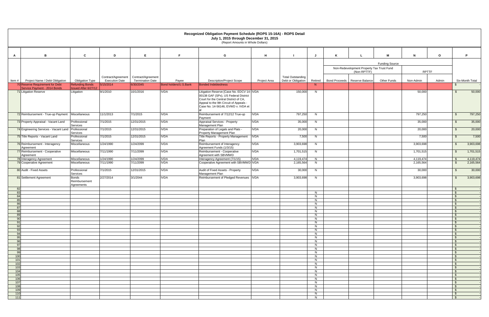|            |                                                       |                                             |                                             |                                               |                       | Recognized Obligation Payment Schedule (ROPS 15-16A) - ROPS Detail<br>July 1, 2015 through December 31, 2015<br>(Report Amounts in Whole Dollars)                                                           |              |                                                |         |   |                                           |                       |              |              |                                          |                 |
|------------|-------------------------------------------------------|---------------------------------------------|---------------------------------------------|-----------------------------------------------|-----------------------|-------------------------------------------------------------------------------------------------------------------------------------------------------------------------------------------------------------|--------------|------------------------------------------------|---------|---|-------------------------------------------|-----------------------|--------------|--------------|------------------------------------------|-----------------|
|            |                                                       |                                             |                                             |                                               |                       |                                                                                                                                                                                                             |              |                                                |         |   |                                           |                       |              |              |                                          |                 |
| A          | В                                                     | $\mathbf{c}$                                | D                                           | E                                             | F.                    | G                                                                                                                                                                                                           | H            |                                                | J       | K |                                           | M                     | N            | $\mathbf{o}$ |                                          | P.              |
|            |                                                       |                                             |                                             |                                               |                       |                                                                                                                                                                                                             |              |                                                |         |   | Non-Redevelopment Property Tax Trust Fund | <b>Funding Source</b> |              |              |                                          |                 |
|            |                                                       |                                             |                                             |                                               |                       |                                                                                                                                                                                                             |              |                                                |         |   | (Non-RPTTF)                               |                       | <b>RPTTF</b> |              |                                          |                 |
| Item#      | Project Name / Debt Obligation                        | <b>Obligation Type</b>                      | Contract/Agreement<br><b>Execution Date</b> | Contract/Agreement<br><b>Termination Date</b> | Payee                 | <b>Description/Project Scope</b>                                                                                                                                                                            | Project Area | <b>Total Outstanding</b><br>Debt or Obligation | Retired |   | Bond Proceeds   Reserve Balance           | Other Funds           | Non-Admin    | Admin        |                                          | Six-Month Total |
|            | 70 Reserve Requirement for Debt                       | <b>Refunding Bonds</b>                      | 5/15/2014                                   | 6/30/2045                                     | Bond holders/U.S.Bank | <b>Bonded Indebtedness</b>                                                                                                                                                                                  |              |                                                | N       |   |                                           |                       |              |              |                                          |                 |
|            | Service Payment - 2014 Bonds<br>71 Litigation Reserve | Issued After 6/27/12<br>Litigation          | 9/1/2010                                    | 10/1/2016                                     | <b>IVDA</b>           | Litigation Reserve [Case No. EDCV 14- IVDA<br>00138 GAF (SPx), US Federal District<br>Court for the Central District of CA,<br>Appeal to the 9th Circuit of Appeals -<br>Case No. 14-56146, EVWD v. IVDA et |              | 150,000                                        | N       |   |                                           |                       | 50,000       |              | - S                                      | 50,000          |
|            | 72 Reimbursement - True-up Payment   Miscellaneous    |                                             | 11/1/2013                                   | 7/1/2015                                      | <b>IVDA</b>           | Reimbursement of 7/12/12 True-up<br>Payment                                                                                                                                                                 | <b>IVDA</b>  | 797,250                                        | N.      |   |                                           |                       | 797,250      |              | $\mathbb{S}$                             | 797,250         |
|            | 73 Property Appraisal - Vacant Land                   | Professional<br>Services                    | 7/1/2015                                    | 12/31/2015                                    | <b>IVDA</b>           | Appraisal Services - Property<br>Management Plan                                                                                                                                                            | <b>IVDA</b>  | 35,000                                         | N       |   |                                           |                       | 35,000       |              | \$                                       | 35,000          |
|            | 74 Engineering Services - Vacant Land Professional    | Services                                    | 7/1/2015                                    | 12/31/2015                                    | <b>IVDA</b>           | Preparation of Legals and Plats -<br>Property Management Plan                                                                                                                                               | <b>IVDA</b>  | 20,000                                         | N       |   |                                           |                       | 20,000       |              | \$                                       | 20,000          |
|            | 75 Title Reports - Vacant Land                        | Professional<br>Services                    | 7/1/2015                                    | 12/31/2015                                    | <b>IVDA</b>           | Title Reports - Property Management<br>Plan                                                                                                                                                                 | <b>IVDA</b>  | 7,500                                          | N.      |   |                                           |                       | 7,500        |              | - S                                      | 7,500           |
|            | 76 Reimbursement - Interagency<br>Agreement           | Miscellaneous                               | 1/24/1990                                   | 1/24/2099                                     | <b>IVDA</b>           | Reimbursement of Interagency<br>Agreement Funds (1/3/15)                                                                                                                                                    | <b>IVDA</b>  | 3,903,698                                      | N       |   |                                           |                       | 3,903,698    |              | $\mathfrak s$                            | 3,903,698       |
|            | 77 Reimbursement - Cooperative<br>Agreement           | Miscellaneous                               | 7/11/1990                                   | 7/11/2099                                     | <b>IVDA</b>           | Reimbursement - Cooperative<br>Agreement with SBVMWD                                                                                                                                                        | <b>IVDA</b>  | 1,701,515                                      | N.      |   |                                           |                       | 1,701,515    |              | $\mathbb{S}$                             | 1,701,515       |
|            | 78 Interagency Agreement                              | Miscellaneous                               | 1/24/1990                                   | 1/24/2099                                     | <b>IVDA</b>           | Interagency Agreement (7/1/15)                                                                                                                                                                              | <b>IVDA</b>  | 4,119,474                                      | N       |   |                                           |                       | 4,119,474    |              | - \$                                     | 4,119,474       |
|            | 79 Cooperative Agreement                              | Miscellaneous                               | 7/11/1990                                   | 7/11/2099                                     | <b>IVDA</b>           | Cooperative Agreement with SBVMWD IVDA                                                                                                                                                                      |              | 2,165,564                                      | N       |   |                                           |                       | 2,165,564    |              | $\mathfrak{S}$                           | 2,165,564       |
|            | 80 Audit - Fixed Assets                               | Professional<br>Services                    | 7/1/2015                                    | 12/31/2015                                    | <b>IVDA</b>           | Audit of Fixed Assets - Property<br>Management Plan                                                                                                                                                         | <b>IVDA</b>  | 30,000                                         | N       |   |                                           |                       | 30,000       |              | \$                                       | 30,000          |
|            | 81 Settlement Agreement                               | <b>Bonds</b><br>Reimbursement<br>Agreements | 2/27/2014                                   | 3/1/2044                                      | <b>IVDA</b>           | Reimbursement of Pledged Revenues                                                                                                                                                                           | <b>IVDA</b>  | 3,903,698                                      | N       |   |                                           |                       | 3,903,698    |              | - S                                      | 3,903,698       |
| 82<br>83   |                                                       |                                             |                                             |                                               |                       |                                                                                                                                                                                                             |              |                                                | N       |   |                                           |                       |              |              | $\mathbf{\$}$<br>$\sqrt{3}$              |                 |
| 84         |                                                       |                                             |                                             |                                               |                       |                                                                                                                                                                                                             |              |                                                | N       |   |                                           |                       |              |              | $\mathsf{\$}$                            |                 |
| 85<br>86   |                                                       |                                             |                                             |                                               |                       |                                                                                                                                                                                                             |              |                                                | N<br>N  |   |                                           |                       |              |              | $\mathbf{\hat{S}}$<br>$\mathbf{\hat{S}}$ |                 |
| 87         |                                                       |                                             |                                             |                                               |                       |                                                                                                                                                                                                             |              |                                                | N       |   |                                           |                       |              |              | $\hat{\mathbf{r}}$                       |                 |
| 88<br>89   |                                                       |                                             |                                             |                                               |                       |                                                                                                                                                                                                             |              |                                                | N<br>N  |   |                                           |                       |              |              | $^{\circ}$<br>$\sqrt{3}$                 |                 |
| 90         |                                                       |                                             |                                             |                                               |                       |                                                                                                                                                                                                             |              |                                                | N       |   |                                           |                       |              |              | $\sqrt{3}$                               |                 |
| 91<br>92   |                                                       |                                             |                                             |                                               |                       |                                                                                                                                                                                                             |              |                                                | N<br>N. |   |                                           |                       |              |              | $\mathbf{\hat{S}}$<br>$^{\circ}$         |                 |
| 93         |                                                       |                                             |                                             |                                               |                       |                                                                                                                                                                                                             |              |                                                | N       |   |                                           |                       |              |              | $\mathbf{\hat{S}}$                       |                 |
| 94         |                                                       |                                             |                                             |                                               |                       |                                                                                                                                                                                                             |              |                                                | N       |   |                                           |                       |              |              | $^{\circ}$                               |                 |
| 95<br>96   |                                                       |                                             |                                             |                                               |                       |                                                                                                                                                                                                             |              |                                                | N<br>N  |   |                                           |                       |              |              | - \$<br>$^{\circ}$                       |                 |
| 97         |                                                       |                                             |                                             |                                               |                       |                                                                                                                                                                                                             |              |                                                | N       |   |                                           |                       |              |              | $\sqrt{3}$                               |                 |
| 98<br>99   |                                                       |                                             |                                             |                                               |                       |                                                                                                                                                                                                             |              |                                                | N<br>N  |   |                                           |                       |              |              | $\sqrt{3}$<br>- \$                       |                 |
| 100        |                                                       |                                             |                                             |                                               |                       |                                                                                                                                                                                                             |              |                                                | N       |   |                                           |                       |              |              | $^{\circ}$                               |                 |
| 101<br>102 |                                                       |                                             |                                             |                                               |                       |                                                                                                                                                                                                             |              |                                                | N<br>N  |   |                                           |                       |              |              | $^{\circ}$<br>$^{\circ}$                 |                 |
| 103        |                                                       |                                             |                                             |                                               |                       |                                                                                                                                                                                                             |              |                                                | N       |   |                                           |                       |              |              | - \$                                     |                 |
| 104<br>105 |                                                       |                                             |                                             |                                               |                       |                                                                                                                                                                                                             |              |                                                | N<br>N  |   |                                           |                       |              |              | $^{\circ}$<br>$\mathbf{\hat{S}}$         |                 |
| 106        |                                                       |                                             |                                             |                                               |                       |                                                                                                                                                                                                             |              |                                                | N.      |   |                                           |                       |              |              | $\sqrt{3}$                               |                 |
| 107        |                                                       |                                             |                                             |                                               |                       |                                                                                                                                                                                                             |              |                                                | N       |   |                                           |                       |              |              | $\mathbf{\hat{S}}$                       |                 |
| 108<br>109 |                                                       |                                             |                                             |                                               |                       |                                                                                                                                                                                                             |              |                                                | N<br>N  |   |                                           |                       |              |              | \$<br>$\mathbf{\hat{S}}$                 |                 |
| 110        |                                                       |                                             |                                             |                                               |                       |                                                                                                                                                                                                             |              |                                                | N       |   |                                           |                       |              |              | $\mathbf{\hat{S}}$                       |                 |
| 111        |                                                       |                                             |                                             |                                               |                       |                                                                                                                                                                                                             |              |                                                | N       |   |                                           |                       |              |              | <b>S</b>                                 |                 |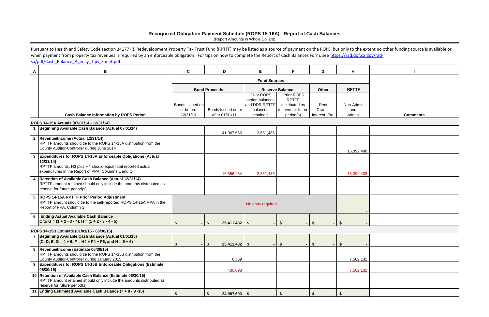## **Recognized Obligation Payment Schedule (ROPS 15-16A) - Report of Cash Balances**

|              | Pursuant to Health and Safety Code section 34177 (I), Redevelopment Property Tax Trust Fund (RPTTF) may be listed as a source of payment on the ROPS, but only to the extent no other funding source is available or |                              |                            |                           |                                      |                                 |                  |                 |
|--------------|----------------------------------------------------------------------------------------------------------------------------------------------------------------------------------------------------------------------|------------------------------|----------------------------|---------------------------|--------------------------------------|---------------------------------|------------------|-----------------|
|              | when payment from property tax revenues is required by an enforceable obligation. For tips on how to complete the Report of Cash Balances Form, see https://rad.dof.ca.gov/rad-                                      |                              |                            |                           |                                      |                                 |                  |                 |
|              | sa/pdf/Cash Balance Agency Tips Sheet.pdf.                                                                                                                                                                           |                              |                            |                           |                                      |                                 |                  |                 |
| $\mathsf{A}$ | В                                                                                                                                                                                                                    | C                            | D                          | E                         | F                                    | G                               | H                |                 |
|              |                                                                                                                                                                                                                      |                              |                            | <b>Fund Sources</b>       |                                      |                                 |                  |                 |
|              |                                                                                                                                                                                                                      |                              | <b>Bond Proceeds</b>       |                           | <b>Reserve Balance</b>               | Other                           | <b>RPTTF</b>     |                 |
|              |                                                                                                                                                                                                                      |                              |                            | Prior ROPS                | Prior ROPS                           |                                 |                  |                 |
|              |                                                                                                                                                                                                                      |                              |                            | period balances           | <b>RPTTF</b>                         |                                 |                  |                 |
|              |                                                                                                                                                                                                                      | Bonds Issued on<br>or before | Bonds Issued on or         | and DDR RPTTF<br>balances | distributed as<br>reserve for future | Rent,<br>Grants,                | Non-Admin<br>and |                 |
|              | <b>Cash Balance Information by ROPS Period</b>                                                                                                                                                                       | 12/31/10                     | after 01/01/11             | retained                  | period(s)                            | Interest, Etc.                  | Admin            | <b>Comments</b> |
|              |                                                                                                                                                                                                                      |                              |                            |                           |                                      |                                 |                  |                 |
|              | ROPS 14-15A Actuals (07/01/14 - 12/31/14)<br>Beginning Available Cash Balance (Actual 07/01/14)                                                                                                                      |                              |                            |                           |                                      |                                 |                  |                 |
|              |                                                                                                                                                                                                                      |                              | 41,967,666                 | 2,661,486                 |                                      |                                 |                  |                 |
|              | 2 Revenue/Income (Actual 12/31/14)                                                                                                                                                                                   |                              |                            |                           |                                      |                                 |                  |                 |
|              | RPTTF amounts should tie to the ROPS 14-15A distribution from the                                                                                                                                                    |                              |                            |                           |                                      |                                 |                  |                 |
|              | County Auditor-Controller during June 2014                                                                                                                                                                           |                              |                            |                           |                                      |                                 | 15,392,408       |                 |
|              | 3 Expenditures for ROPS 14-15A Enforceable Obligations (Actual                                                                                                                                                       |                              |                            |                           |                                      |                                 |                  |                 |
|              | 12/31/14)<br>RPTTF amounts, H3 plus H4 should equal total reported actual                                                                                                                                            |                              |                            |                           |                                      |                                 |                  |                 |
|              | expenditures in the Report of PPA, Columns L and Q                                                                                                                                                                   |                              |                            |                           |                                      |                                 |                  |                 |
|              | Retention of Available Cash Balance (Actual 12/31/14)                                                                                                                                                                |                              | 16,556,234                 | 2,661,486                 |                                      |                                 | 15,392,408       |                 |
|              | RPTTF amount retained should only include the amounts distributed as                                                                                                                                                 |                              |                            |                           |                                      |                                 |                  |                 |
|              | reserve for future period(s)                                                                                                                                                                                         |                              |                            |                           |                                      |                                 |                  |                 |
| 5            | <b>ROPS 14-15A RPTTF Prior Period Adjustment</b>                                                                                                                                                                     |                              |                            |                           |                                      |                                 |                  |                 |
|              | RPTTF amount should tie to the self-reported ROPS 14-15A PPA in the                                                                                                                                                  |                              |                            | No entry required         |                                      |                                 |                  |                 |
|              | Report of PPA, Column S                                                                                                                                                                                              |                              |                            |                           |                                      |                                 |                  |                 |
|              | 6   Ending Actual Available Cash Balance                                                                                                                                                                             |                              |                            |                           |                                      |                                 |                  |                 |
|              | C to G = $(1 + 2 - 3 - 4)$ , H = $(1 + 2 - 3 - 4 - 5)$                                                                                                                                                               |                              | $25,411,432$ \$<br>$-1$ \$ |                           | - 56                                 | -S                              | $\sqrt{3}$       |                 |
|              | ROPS 14-15B Estimate (01/01/15 - 06/30/15)                                                                                                                                                                           |                              |                            |                           |                                      |                                 |                  |                 |
|              | Beginning Available Cash Balance (Actual 01/01/15)                                                                                                                                                                   |                              |                            |                           |                                      |                                 |                  |                 |
|              | $(C, D, E, G = 4 + 6, F = H4 + F4 + F6, and H = 5 + 6)$                                                                                                                                                              |                              | $-1$ \$                    |                           |                                      |                                 |                  |                 |
|              | 8  Revenue/Income (Estimate 06/30/15)                                                                                                                                                                                |                              |                            |                           | - \$                                 | $\boldsymbol{\hat{\mathsf{s}}}$ | <b>S</b>         |                 |
|              | RPTTF amounts should tie to the ROPS 14-15B distribution from the                                                                                                                                                    |                              |                            |                           |                                      |                                 |                  |                 |
|              | County Auditor-Controller during January 2015                                                                                                                                                                        |                              | 6,359                      |                           |                                      |                                 | 7,502,132        |                 |
|              | 9 Expenditures for ROPS 14-15B Enforceable Obligations (Estimate                                                                                                                                                     |                              |                            |                           |                                      |                                 |                  |                 |
|              | 06/30/15)                                                                                                                                                                                                            |                              | 430,098                    |                           |                                      |                                 | 7,502,132        |                 |
|              | 10 Retention of Available Cash Balance (Estimate 06/30/15)<br>RPTTF amount retained should only include the amounts distributed as                                                                                   |                              |                            |                           |                                      |                                 |                  |                 |
|              | reserve for future period(s)                                                                                                                                                                                         |                              |                            |                           |                                      |                                 |                  |                 |
|              | 11 Ending Estimated Available Cash Balance (7 + 8 - 9 -10)                                                                                                                                                           |                              | $24,987,693$ \$<br>\$      |                           |                                      | -\$                             |                  |                 |
|              |                                                                                                                                                                                                                      |                              |                            |                           |                                      |                                 |                  |                 |

(Report Amounts in Whole Dollars)

|      | e extent no other funding source is available or<br>ca.gov/rad- |
|------|-----------------------------------------------------------------|
|      | I                                                               |
|      |                                                                 |
|      |                                                                 |
|      |                                                                 |
| ıin  |                                                                 |
|      | <b>Comments</b>                                                 |
|      |                                                                 |
|      |                                                                 |
| ,408 |                                                                 |
|      |                                                                 |
| ,408 |                                                                 |
|      |                                                                 |
|      |                                                                 |
|      |                                                                 |
|      |                                                                 |
|      |                                                                 |
|      |                                                                 |
|      |                                                                 |
|      |                                                                 |
| ,132 |                                                                 |
| ,132 |                                                                 |
|      |                                                                 |
|      |                                                                 |
|      |                                                                 |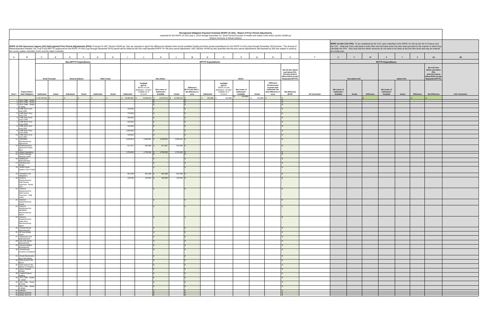|                                                                                                                                                                                                                                                                                                                                                                                                                                                                                                                                   |                          |                      |            |                                                         |            |                    |                          |                                                                                                                   |                                            |                                    |                                                                         |                           | Recognized Obligation Payment Schedule (ROPS 15-16A) - Report of Prior Period Adjustments<br>Reported for the ROPS 14-15A (July 1, 2014 through December 31, 2014) Period Pursuant to Health and Safety Code (HSC) section 34186 (a)<br>(Report Amounts in Whole Dollars) |                                                       |                   |                                                                                                           |                                                                                                       |                    |                                            |                      |                   |                                            |                  |                   |                                                                                                                                                                                                                                                                                                                                                                   |                |
|-----------------------------------------------------------------------------------------------------------------------------------------------------------------------------------------------------------------------------------------------------------------------------------------------------------------------------------------------------------------------------------------------------------------------------------------------------------------------------------------------------------------------------------|--------------------------|----------------------|------------|---------------------------------------------------------|------------|--------------------|--------------------------|-------------------------------------------------------------------------------------------------------------------|--------------------------------------------|------------------------------------|-------------------------------------------------------------------------|---------------------------|---------------------------------------------------------------------------------------------------------------------------------------------------------------------------------------------------------------------------------------------------------------------------|-------------------------------------------------------|-------------------|-----------------------------------------------------------------------------------------------------------|-------------------------------------------------------------------------------------------------------|--------------------|--------------------------------------------|----------------------|-------------------|--------------------------------------------|------------------|-------------------|-------------------------------------------------------------------------------------------------------------------------------------------------------------------------------------------------------------------------------------------------------------------------------------------------------------------------------------------------------------------|----------------|
| ROPS 14-15A Successor Agency (SA) Self-reported Prior Period Adjustments (PPA): Pursuant to HSC Section 34186 (a), SAs are required to report the differences between their actual available funding and their actual expendit<br>Redevelopment Property Tax Trust Fund (RPTTF) approved for the ROPS 15-16A (July through December 2015) period will be offset by the SA's self-reported ROPS 14-15A prior period adjustment. HSC Section 34186 (a) also specif<br>the county auditor-controller (CAC) and the State Controller. |                          |                      |            |                                                         |            |                    |                          |                                                                                                                   |                                            |                                    |                                                                         |                           |                                                                                                                                                                                                                                                                           |                                                       |                   |                                                                                                           |                                                                                                       |                    | as a lump sum.                             |                      |                   |                                            |                  |                   | ROPS 14-15A CAC PPA: To be completed by the CAC upon submittal of the ROPS 15-16A by the SA to Finance and<br>the CAC. Note that CACs will need to enter their own formulas at the line item level pursuant to the manner in which they<br>calculate the PPA. Also note that the Admin amounts do not need to be listed at the line item level and may be entered |                |
| $\mathsf{A}$<br>$\mathbf{B}$                                                                                                                                                                                                                                                                                                                                                                                                                                                                                                      | $\mathbf{c}$             | $\mathbf{D}$         | E          | F                                                       | G          | H                  |                          | $\mathbf{J}$                                                                                                      | K                                          |                                    | M                                                                       | N                         | $\Omega$                                                                                                                                                                                                                                                                  | P                                                     | $\mathbf Q$       | R                                                                                                         | S                                                                                                     | T                  | $\mathsf{U}$                               | $\mathbf{v}$         | W                 | $\mathbf{x}$                               | $\mathbf{Y}$     | $\mathbf{z}$      | AA                                                                                                                                                                                                                                                                                                                                                                | AB             |
|                                                                                                                                                                                                                                                                                                                                                                                                                                                                                                                                   |                          | <b>Bond Proceeds</b> |            | <b>Non-RPTTF Expenditures</b><br><b>Reserve Balance</b> |            | <b>Other Funds</b> |                          |                                                                                                                   | Non-Admin                                  |                                    |                                                                         | <b>RPTTF Expenditures</b> |                                                                                                                                                                                                                                                                           | Admin                                                 |                   |                                                                                                           | Net SA Non-Admin<br>and Admin PPA<br>(Amount Used to<br>Offset ROPS 15-16A<br><b>Requested RPTTF)</b> |                    |                                            | <b>Non-Admin CAC</b> |                   | <b>RPTTF Expenditures</b>                  | <b>Admin CAC</b> |                   | Net CAC Non-<br><b>Admin and Admin</b><br><b>PPA</b><br>(Amount Used to<br>Offset ROPS 15-16A<br><b>Requested RPTTF)</b>                                                                                                                                                                                                                                          |                |
| Project Name /<br>Item#<br><b>Debt Obligation</b>                                                                                                                                                                                                                                                                                                                                                                                                                                                                                 | Authorized<br>30,754,051 | Actual               | Authorized | Actual                                                  | Authorized | Actual             | Authorized<br>16,586,092 | Available<br><b>RPTTF</b><br>(ROPS 14-15A<br>distributed + all other<br>available as of<br>07/1/14)<br>14,939,544 | Net Lesser of<br>Authorized /<br>Available | Actual<br>14,878,543 \$ 14,939,544 | <b>Difference</b><br>(If K is less than L<br>the difference is<br>zero) | Authorized<br>\$ 452,886  | Available<br><b>RPTTF</b><br>(ROPS 14-15A<br>distributed + all other<br>available as of<br>07/1/14<br>452,886                                                                                                                                                             | Net Lesser of<br>Authorized /<br>Available<br>452,886 | Actual<br>452,886 | <b>Difference</b><br>(If total actual<br>exceeds total<br>authorized, the<br>total difference is<br>zero) | <b>Net Difference</b><br>$(M+R)$                                                                      | <b>SA Comments</b> | Net Lesser of<br>Authorized /<br>Available | Actual               | <b>Difference</b> | Net Lesser of<br>Authorized /<br>Available | Actual           | <b>Difference</b> | <b>Net Difference</b>                                                                                                                                                                                                                                                                                                                                             | <b>CAC Com</b> |
| 1 2011 TABs - Series<br>2 2011 TABs - Series<br>3 2011 TABs - Series                                                                                                                                                                                                                                                                                                                                                                                                                                                              |                          |                      |            |                                                         |            |                    |                          |                                                                                                                   |                                            |                                    |                                                                         |                           |                                                                                                                                                                                                                                                                           |                                                       |                   |                                                                                                           |                                                                                                       |                    |                                            |                      |                   |                                            |                  |                   |                                                                                                                                                                                                                                                                                                                                                                   |                |
| C (50M)<br>4 CMB Short Term<br>Loan (5M)                                                                                                                                                                                                                                                                                                                                                                                                                                                                                          |                          |                      |            |                                                         |            |                    | 150,000                  |                                                                                                                   |                                            |                                    |                                                                         |                           |                                                                                                                                                                                                                                                                           |                                                       |                   |                                                                                                           |                                                                                                       |                    |                                            |                      |                   |                                            |                  |                   |                                                                                                                                                                                                                                                                                                                                                                   |                |
| 5 CMB Short Term<br>Loan (7M)                                                                                                                                                                                                                                                                                                                                                                                                                                                                                                     |                          |                      |            |                                                         |            |                    | 175,000                  |                                                                                                                   |                                            |                                    |                                                                         |                           |                                                                                                                                                                                                                                                                           |                                                       |                   |                                                                                                           |                                                                                                       |                    |                                            |                      |                   |                                            |                  |                   |                                                                                                                                                                                                                                                                                                                                                                   |                |
| 6 CMB Short Term<br>Loan (14M)<br>7 CMB Short Term                                                                                                                                                                                                                                                                                                                                                                                                                                                                                |                          |                      |            |                                                         |            |                    | 350,000<br>525,000       |                                                                                                                   | $\mathsf{s}$                               |                                    |                                                                         |                           |                                                                                                                                                                                                                                                                           |                                                       |                   |                                                                                                           |                                                                                                       |                    |                                            |                      |                   |                                            |                  |                   |                                                                                                                                                                                                                                                                                                                                                                   |                |
| Loan (20M)<br>8 CMB Short Term<br>Loan (6M)                                                                                                                                                                                                                                                                                                                                                                                                                                                                                       |                          |                      |            |                                                         |            |                    | 135,000                  |                                                                                                                   |                                            |                                    |                                                                         |                           |                                                                                                                                                                                                                                                                           |                                                       |                   |                                                                                                           |                                                                                                       |                    |                                            |                      |                   |                                            |                  |                   |                                                                                                                                                                                                                                                                                                                                                                   |                |
| 9 CMB Short Term<br>Loan (40M)                                                                                                                                                                                                                                                                                                                                                                                                                                                                                                    |                          |                      |            |                                                         |            |                    | 1,000,000                |                                                                                                                   |                                            |                                    |                                                                         |                           |                                                                                                                                                                                                                                                                           |                                                       |                   |                                                                                                           |                                                                                                       |                    |                                            |                      |                   |                                            |                  |                   |                                                                                                                                                                                                                                                                                                                                                                   |                |
| 10 CMB Short Term<br>Loan (4M)<br>11 SBVMWD                                                                                                                                                                                                                                                                                                                                                                                                                                                                                       |                          |                      |            |                                                         |            |                    | 105,000<br>2,635,853     | $2,690,691$ \$                                                                                                    | 2,635,853                                  | 2,690,691 \$                       |                                                                         |                           |                                                                                                                                                                                                                                                                           |                                                       |                   |                                                                                                           |                                                                                                       |                    |                                            |                      |                   |                                            |                  |                   |                                                                                                                                                                                                                                                                                                                                                                   |                |
| Reimbursement<br>Agreement                                                                                                                                                                                                                                                                                                                                                                                                                                                                                                        |                          |                      |            |                                                         |            |                    |                          |                                                                                                                   |                                            |                                    |                                                                         |                           |                                                                                                                                                                                                                                                                           |                                                       |                   |                                                                                                           |                                                                                                       |                    |                                            |                      |                   |                                            |                  |                   |                                                                                                                                                                                                                                                                                                                                                                   |                |
| 12 Reimbursement<br>Agreement Stater<br><b>Rros</b>                                                                                                                                                                                                                                                                                                                                                                                                                                                                               |                          |                      |            |                                                         |            |                    | 617,917                  | 624,080 \$                                                                                                        | 617,917                                    | 624,080                            |                                                                         |                           |                                                                                                                                                                                                                                                                           |                                                       |                   |                                                                                                           |                                                                                                       |                    |                                            |                      |                   |                                            |                  |                   |                                                                                                                                                                                                                                                                                                                                                                   |                |
| 13 Airport Operations<br>14 South Drainage<br>Gateway South                                                                                                                                                                                                                                                                                                                                                                                                                                                                       |                          |                      |            |                                                         |            |                    | 2,750,000                | 2,750,000 \$                                                                                                      | 2,750,000                                  | 2,750,000                          |                                                                         |                           |                                                                                                                                                                                                                                                                           |                                                       |                   |                                                                                                           |                                                                                                       |                    |                                            |                      |                   |                                            |                  |                   |                                                                                                                                                                                                                                                                                                                                                                   |                |
| 16 Building 56<br>Improvements                                                                                                                                                                                                                                                                                                                                                                                                                                                                                                    |                          |                      |            |                                                         |            |                    |                          |                                                                                                                   |                                            |                                    |                                                                         |                           |                                                                                                                                                                                                                                                                           |                                                       |                   |                                                                                                           |                                                                                                       |                    |                                            |                      |                   |                                            |                  |                   |                                                                                                                                                                                                                                                                                                                                                                   |                |
| 17 Del Rosa Ave<br>Design<br>18 Airfield Water                                                                                                                                                                                                                                                                                                                                                                                                                                                                                    |                          |                      |            |                                                         |            |                    |                          |                                                                                                                   |                                            |                                    |                                                                         |                           |                                                                                                                                                                                                                                                                           |                                                       |                   |                                                                                                           |                                                                                                       |                    |                                            |                      |                   |                                            |                  |                   |                                                                                                                                                                                                                                                                                                                                                                   |                |
| System Cuts & Cap                                                                                                                                                                                                                                                                                                                                                                                                                                                                                                                 |                          |                      |            |                                                         |            |                    |                          |                                                                                                                   |                                            |                                    |                                                                         |                           |                                                                                                                                                                                                                                                                           |                                                       |                   |                                                                                                           |                                                                                                       |                    |                                            |                      |                   |                                            |                  |                   |                                                                                                                                                                                                                                                                                                                                                                   |                |
| 19 Transition Cost<br>Obligations<br>20 Reserve                                                                                                                                                                                                                                                                                                                                                                                                                                                                                   |                          |                      |            |                                                         |            |                    | 801,098<br>100,000       | 801,098<br>$100,000$ \$                                                                                           | 801,098<br>100,000                         | 801,098<br>100,000                 |                                                                         |                           |                                                                                                                                                                                                                                                                           |                                                       |                   |                                                                                                           |                                                                                                       |                    |                                            |                      |                   |                                            |                  |                   |                                                                                                                                                                                                                                                                                                                                                                   |                |
| Requirement for<br>Debt Service<br>Payments - Bonds<br>2011                                                                                                                                                                                                                                                                                                                                                                                                                                                                       |                          |                      |            |                                                         |            |                    |                          |                                                                                                                   |                                            |                                    |                                                                         |                           |                                                                                                                                                                                                                                                                           |                                                       |                   |                                                                                                           |                                                                                                       |                    |                                            |                      |                   |                                            |                  |                   |                                                                                                                                                                                                                                                                                                                                                                   |                |
| 21 Reserve<br>Requirement for<br>Debt Service<br>Payments - CMB<br>Loans                                                                                                                                                                                                                                                                                                                                                                                                                                                          |                          |                      |            |                                                         |            |                    |                          |                                                                                                                   |                                            |                                    |                                                                         |                           |                                                                                                                                                                                                                                                                           |                                                       |                   |                                                                                                           |                                                                                                       |                    |                                            |                      |                   |                                            |                  |                   |                                                                                                                                                                                                                                                                                                                                                                   |                |
| 22 Reserve<br>Requirement for                                                                                                                                                                                                                                                                                                                                                                                                                                                                                                     |                          |                      |            |                                                         |            |                    |                          |                                                                                                                   |                                            |                                    |                                                                         |                           |                                                                                                                                                                                                                                                                           |                                                       |                   |                                                                                                           |                                                                                                       |                    |                                            |                      |                   |                                            |                  |                   |                                                                                                                                                                                                                                                                                                                                                                   |                |
| Grants<br>23 Reserve<br>Requirement for<br>SBVMWD<br>Reimbursement                                                                                                                                                                                                                                                                                                                                                                                                                                                                |                          |                      |            |                                                         |            |                    |                          |                                                                                                                   |                                            |                                    |                                                                         |                           |                                                                                                                                                                                                                                                                           |                                                       |                   |                                                                                                           |                                                                                                       |                    |                                            |                      |                   |                                            |                  |                   |                                                                                                                                                                                                                                                                                                                                                                   |                |
| Agree<br>24 Reserve<br>Requirement for<br>Stater Bros.                                                                                                                                                                                                                                                                                                                                                                                                                                                                            |                          |                      |            |                                                         |            |                    |                          |                                                                                                                   |                                            |                                    |                                                                         |                           |                                                                                                                                                                                                                                                                           |                                                       |                   |                                                                                                           |                                                                                                       |                    |                                            |                      |                   |                                            |                  |                   |                                                                                                                                                                                                                                                                                                                                                                   |                |
| Reimbursement<br>Agree<br>25 Central Avenue<br>Improvements                                                                                                                                                                                                                                                                                                                                                                                                                                                                       |                          |                      |            |                                                         |            |                    |                          |                                                                                                                   |                                            |                                    |                                                                         |                           |                                                                                                                                                                                                                                                                           |                                                       |                   |                                                                                                           |                                                                                                       |                    |                                            |                      |                   |                                            |                  |                   |                                                                                                                                                                                                                                                                                                                                                                   |                |
| 26 Mt View Bridge<br>Const<br>27 Tippecanoe Ave                                                                                                                                                                                                                                                                                                                                                                                                                                                                                   |                          |                      |            |                                                         |            |                    |                          |                                                                                                                   |                                            |                                    |                                                                         |                           |                                                                                                                                                                                                                                                                           |                                                       |                   |                                                                                                           |                                                                                                       |                    |                                            |                      |                   |                                            |                  |                   |                                                                                                                                                                                                                                                                                                                                                                   |                |
| Improvements<br>28 3rd & 5th Street                                                                                                                                                                                                                                                                                                                                                                                                                                                                                               |                          |                      |            |                                                         |            |                    |                          |                                                                                                                   |                                            |                                    |                                                                         |                           |                                                                                                                                                                                                                                                                           |                                                       |                   |                                                                                                           |                                                                                                       |                    |                                            |                      |                   |                                            |                  |                   |                                                                                                                                                                                                                                                                                                                                                                   |                |
| Impovements<br>29 General Aviation<br>Development                                                                                                                                                                                                                                                                                                                                                                                                                                                                                 |                          |                      |            |                                                         |            |                    |                          |                                                                                                                   | $\mathbf{s}$                               |                                    |                                                                         |                           |                                                                                                                                                                                                                                                                           |                                                       |                   |                                                                                                           |                                                                                                       |                    |                                            |                      |                   |                                            |                  |                   |                                                                                                                                                                                                                                                                                                                                                                   |                |
| 30 Terminal and<br><b>Customs Completion</b>                                                                                                                                                                                                                                                                                                                                                                                                                                                                                      |                          |                      |            |                                                         |            |                    |                          |                                                                                                                   |                                            |                                    |                                                                         |                           |                                                                                                                                                                                                                                                                           |                                                       |                   |                                                                                                           |                                                                                                       |                    |                                            |                      |                   |                                            |                  |                   |                                                                                                                                                                                                                                                                                                                                                                   |                |
| 31 Goods Movements<br>3rd & 5th Streets<br>34 EDA Grant 07-49-<br>06572<br>35 EDA Grant 07-49-                                                                                                                                                                                                                                                                                                                                                                                                                                    |                          |                      |            |                                                         |            |                    |                          |                                                                                                                   | S.<br>$\hat{\mathbf{x}}$                   |                                    |                                                                         |                           |                                                                                                                                                                                                                                                                           |                                                       |                   |                                                                                                           |                                                                                                       |                    |                                            |                      |                   |                                            |                  |                   |                                                                                                                                                                                                                                                                                                                                                                   |                |
| 06454; 07-49-0653<br>37 Airport Sheriff's<br>Hangar                                                                                                                                                                                                                                                                                                                                                                                                                                                                               |                          |                      |            |                                                         |            |                    |                          |                                                                                                                   |                                            |                                    |                                                                         |                           |                                                                                                                                                                                                                                                                           |                                                       |                   |                                                                                                           |                                                                                                       |                    |                                            |                      |                   |                                            |                  |                   |                                                                                                                                                                                                                                                                                                                                                                   |                |
| 38 Capital Projects<br>Staffing<br>39 2011 TABs - Series                                                                                                                                                                                                                                                                                                                                                                                                                                                                          |                          |                      |            |                                                         |            |                    |                          |                                                                                                                   |                                            |                                    |                                                                         |                           |                                                                                                                                                                                                                                                                           |                                                       |                   |                                                                                                           |                                                                                                       |                    |                                            |                      |                   |                                            |                  |                   |                                                                                                                                                                                                                                                                                                                                                                   |                |
| A (65M)<br>40 2011 TABs - Series<br>B (47M)<br>41 2011 TABs - Series                                                                                                                                                                                                                                                                                                                                                                                                                                                              |                          |                      |            |                                                         |            |                    |                          |                                                                                                                   | S.                                         |                                    |                                                                         |                           |                                                                                                                                                                                                                                                                           |                                                       |                   |                                                                                                           |                                                                                                       |                    |                                            |                      |                   |                                            |                  |                   |                                                                                                                                                                                                                                                                                                                                                                   |                |
| C (50M)<br>42 Salaries                                                                                                                                                                                                                                                                                                                                                                                                                                                                                                            |                          |                      |            |                                                         |            |                    |                          |                                                                                                                   |                                            |                                    |                                                                         |                           |                                                                                                                                                                                                                                                                           |                                                       |                   |                                                                                                           |                                                                                                       |                    |                                            |                      |                   |                                            |                  |                   |                                                                                                                                                                                                                                                                                                                                                                   |                |
| 44 Reso# 2010-06<br>45 Reso# 2011-01                                                                                                                                                                                                                                                                                                                                                                                                                                                                                              |                          |                      |            |                                                         |            |                    |                          |                                                                                                                   |                                            |                                    |                                                                         |                           |                                                                                                                                                                                                                                                                           |                                                       |                   |                                                                                                           |                                                                                                       |                    |                                            |                      |                   |                                            |                  |                   |                                                                                                                                                                                                                                                                                                                                                                   |                |

|                    |                               |               |            | ROPS 14-15A CAC PPA: To be completed by the CAC upon submittal of the ROPS 15-16A by the SA to Finance and             |                  |             |                                                                                                                           |                        |
|--------------------|-------------------------------|---------------|------------|------------------------------------------------------------------------------------------------------------------------|------------------|-------------|---------------------------------------------------------------------------------------------------------------------------|------------------------|
|                    |                               |               |            | calculate the PPA. Also note that the Admin amounts do not need to be listed at the line item level and may be entered |                  |             | the CAC. Note that CACs will need to enter their own formulas at the line item level pursuant to the manner in which they |                        |
|                    | as a lump sum.                |               |            |                                                                                                                        |                  |             |                                                                                                                           |                        |
| $\mathsf T$        | $\sf U$                       | $\mathsf{v}$  | ${\bf W}$  | $\pmb{\mathsf{x}}$                                                                                                     | Y                | $\mathsf z$ | ${\sf AA}$                                                                                                                | $\mathbf{A}\mathbf{B}$ |
|                    |                               |               |            | <b>RPTTF Expenditures</b>                                                                                              |                  |             |                                                                                                                           |                        |
|                    |                               |               |            |                                                                                                                        |                  |             | Net CAC Non-<br><b>Admin and Admin</b>                                                                                    |                        |
|                    |                               |               |            |                                                                                                                        |                  |             | ${\sf PPA}$<br>(Amount Used to                                                                                            |                        |
|                    |                               | Non-Admin CAC |            |                                                                                                                        | <b>Admin CAC</b> |             | Offset ROPS 15-16A<br>Requested RPTTF)                                                                                    |                        |
|                    |                               |               |            |                                                                                                                        |                  |             |                                                                                                                           |                        |
|                    | Net Lesser of<br>Authorized / |               |            | Net Lesser of<br>Authorized /                                                                                          |                  |             |                                                                                                                           |                        |
| <b>SA Comments</b> | Available                     | Actual        | Difference | Available                                                                                                              | Actual           | Difference  | Net Difference                                                                                                            | <b>CAC Comments</b>    |
|                    |                               |               | \$         |                                                                                                                        |                  | \$          | $\mathbb{S}$                                                                                                              |                        |
|                    |                               |               |            |                                                                                                                        |                  |             |                                                                                                                           |                        |
|                    |                               |               |            |                                                                                                                        |                  |             |                                                                                                                           |                        |
|                    |                               |               |            |                                                                                                                        |                  |             |                                                                                                                           |                        |
|                    |                               |               |            |                                                                                                                        |                  |             |                                                                                                                           |                        |
|                    |                               |               |            |                                                                                                                        |                  |             |                                                                                                                           |                        |
|                    |                               |               |            |                                                                                                                        |                  |             |                                                                                                                           |                        |
|                    |                               |               |            |                                                                                                                        |                  |             |                                                                                                                           |                        |
|                    |                               |               |            |                                                                                                                        |                  |             |                                                                                                                           |                        |
|                    |                               |               |            |                                                                                                                        |                  |             |                                                                                                                           |                        |
|                    |                               |               |            |                                                                                                                        |                  |             |                                                                                                                           |                        |
|                    |                               |               |            |                                                                                                                        |                  |             |                                                                                                                           |                        |
|                    |                               |               |            |                                                                                                                        |                  |             |                                                                                                                           |                        |
|                    |                               |               |            |                                                                                                                        |                  |             |                                                                                                                           |                        |
|                    |                               |               |            |                                                                                                                        |                  |             |                                                                                                                           |                        |
|                    |                               |               |            |                                                                                                                        |                  |             |                                                                                                                           |                        |
|                    |                               |               |            |                                                                                                                        |                  |             |                                                                                                                           |                        |
|                    |                               |               |            |                                                                                                                        |                  |             |                                                                                                                           |                        |
|                    |                               |               |            |                                                                                                                        |                  |             |                                                                                                                           |                        |
|                    |                               |               |            |                                                                                                                        |                  |             |                                                                                                                           |                        |
|                    |                               |               |            |                                                                                                                        |                  |             |                                                                                                                           |                        |
|                    |                               |               |            |                                                                                                                        |                  |             |                                                                                                                           |                        |
|                    |                               |               |            |                                                                                                                        |                  |             |                                                                                                                           |                        |
|                    |                               |               |            |                                                                                                                        |                  |             |                                                                                                                           |                        |
|                    |                               |               |            |                                                                                                                        |                  |             |                                                                                                                           |                        |
|                    |                               |               |            |                                                                                                                        |                  |             |                                                                                                                           |                        |
|                    |                               |               |            |                                                                                                                        |                  |             |                                                                                                                           |                        |
|                    |                               |               |            |                                                                                                                        |                  |             |                                                                                                                           |                        |
|                    |                               |               |            |                                                                                                                        |                  |             |                                                                                                                           |                        |
|                    |                               |               |            |                                                                                                                        |                  |             |                                                                                                                           |                        |
|                    |                               |               |            |                                                                                                                        |                  |             |                                                                                                                           |                        |
|                    |                               |               |            |                                                                                                                        |                  |             |                                                                                                                           |                        |
|                    |                               |               |            |                                                                                                                        |                  |             |                                                                                                                           |                        |
|                    |                               |               |            |                                                                                                                        |                  |             |                                                                                                                           |                        |
|                    |                               |               |            |                                                                                                                        |                  |             |                                                                                                                           |                        |
|                    |                               |               |            |                                                                                                                        |                  |             |                                                                                                                           |                        |
|                    |                               |               |            |                                                                                                                        |                  |             |                                                                                                                           |                        |
|                    |                               |               |            |                                                                                                                        |                  |             |                                                                                                                           |                        |
|                    |                               |               |            |                                                                                                                        |                  |             |                                                                                                                           |                        |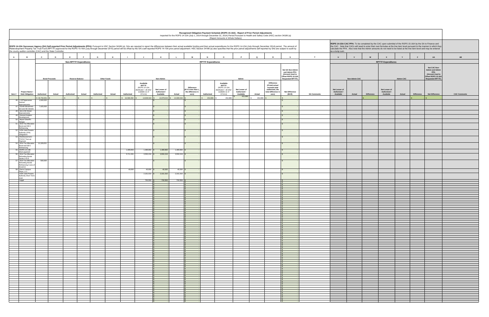|                    | as a lump sum.                             |                      |                  | ROPS 14-15A CAC PPA: To be completed by the CAC upon submittal of the ROPS 15-16A by the SA to Finance and<br>calculate the PPA. Also note that the Admin amounts do not need to be listed at the line item level and may be entered |                  |                       | the CAC. Note that CACs will need to enter their own formulas at the line item level pursuant to the manner in which they |                        |
|--------------------|--------------------------------------------|----------------------|------------------|--------------------------------------------------------------------------------------------------------------------------------------------------------------------------------------------------------------------------------------|------------------|-----------------------|---------------------------------------------------------------------------------------------------------------------------|------------------------|
| $\mathbf T$        | $\sf U$                                    | $\mathsf{v}$         | ${\bf W}$        | $\pmb{\mathsf{x}}$                                                                                                                                                                                                                   | Y                | $\mathsf z$           | ${\sf AA}$                                                                                                                | $\mathbf{A}\mathbf{B}$ |
|                    |                                            |                      |                  | <b>RPTTF Expenditures</b>                                                                                                                                                                                                            |                  |                       |                                                                                                                           |                        |
|                    |                                            | <b>Non-Admin CAC</b> |                  |                                                                                                                                                                                                                                      | <b>Admin CAC</b> |                       | Net CAC Non-<br><b>Admin and Admin</b><br>PPA<br>(Amount Used to<br>Offset ROPS 15-16A<br><b>Requested RPTTF)</b>         |                        |
| <b>SA Comments</b> | Net Lesser of<br>Authorized /<br>Available | Actual               | Difference<br>\$ | Net Lesser of<br>Authorized /<br>Available                                                                                                                                                                                           | Actual           | Difference<br>\$<br>٠ | Net Difference<br>$\mathbb{S}$                                                                                            | <b>CAC Comments</b>    |
|                    |                                            |                      |                  |                                                                                                                                                                                                                                      |                  |                       |                                                                                                                           |                        |
|                    |                                            |                      |                  |                                                                                                                                                                                                                                      |                  |                       |                                                                                                                           |                        |
|                    |                                            |                      |                  |                                                                                                                                                                                                                                      |                  |                       |                                                                                                                           |                        |
|                    |                                            |                      |                  |                                                                                                                                                                                                                                      |                  |                       |                                                                                                                           |                        |
|                    |                                            |                      |                  |                                                                                                                                                                                                                                      |                  |                       |                                                                                                                           |                        |
|                    |                                            |                      |                  |                                                                                                                                                                                                                                      |                  |                       |                                                                                                                           |                        |
|                    |                                            |                      |                  |                                                                                                                                                                                                                                      |                  |                       |                                                                                                                           |                        |
|                    |                                            |                      |                  |                                                                                                                                                                                                                                      |                  |                       |                                                                                                                           |                        |
|                    |                                            |                      |                  |                                                                                                                                                                                                                                      |                  |                       |                                                                                                                           |                        |
|                    |                                            |                      |                  |                                                                                                                                                                                                                                      |                  |                       |                                                                                                                           |                        |
|                    |                                            |                      |                  |                                                                                                                                                                                                                                      |                  |                       |                                                                                                                           |                        |
|                    |                                            |                      |                  |                                                                                                                                                                                                                                      |                  |                       |                                                                                                                           |                        |
|                    |                                            |                      |                  |                                                                                                                                                                                                                                      |                  |                       |                                                                                                                           |                        |
|                    |                                            |                      |                  |                                                                                                                                                                                                                                      |                  |                       |                                                                                                                           |                        |
|                    |                                            |                      |                  |                                                                                                                                                                                                                                      |                  |                       |                                                                                                                           |                        |
|                    |                                            |                      |                  |                                                                                                                                                                                                                                      |                  |                       |                                                                                                                           |                        |
|                    |                                            |                      |                  |                                                                                                                                                                                                                                      |                  |                       |                                                                                                                           |                        |
|                    |                                            |                      |                  |                                                                                                                                                                                                                                      |                  |                       |                                                                                                                           |                        |
|                    |                                            |                      |                  |                                                                                                                                                                                                                                      |                  |                       |                                                                                                                           |                        |
|                    |                                            |                      |                  |                                                                                                                                                                                                                                      |                  |                       |                                                                                                                           |                        |
|                    |                                            |                      |                  |                                                                                                                                                                                                                                      |                  |                       |                                                                                                                           |                        |
|                    |                                            |                      |                  |                                                                                                                                                                                                                                      |                  |                       |                                                                                                                           |                        |
|                    |                                            |                      |                  |                                                                                                                                                                                                                                      |                  |                       |                                                                                                                           |                        |
|                    |                                            |                      |                  |                                                                                                                                                                                                                                      |                  |                       |                                                                                                                           |                        |
|                    |                                            |                      |                  |                                                                                                                                                                                                                                      |                  |                       |                                                                                                                           |                        |
|                    |                                            |                      |                  |                                                                                                                                                                                                                                      |                  |                       |                                                                                                                           |                        |
|                    |                                            |                      |                  |                                                                                                                                                                                                                                      |                  |                       |                                                                                                                           |                        |
|                    |                                            |                      |                  |                                                                                                                                                                                                                                      |                  |                       |                                                                                                                           |                        |
|                    |                                            |                      |                  |                                                                                                                                                                                                                                      |                  |                       |                                                                                                                           |                        |
|                    |                                            |                      |                  |                                                                                                                                                                                                                                      |                  |                       |                                                                                                                           |                        |
|                    |                                            |                      |                  |                                                                                                                                                                                                                                      |                  |                       |                                                                                                                           |                        |
|                    |                                            |                      |                  |                                                                                                                                                                                                                                      |                  |                       |                                                                                                                           |                        |
|                    |                                            |                      |                  |                                                                                                                                                                                                                                      |                  |                       |                                                                                                                           |                        |
|                    |                                            |                      |                  |                                                                                                                                                                                                                                      |                  |                       |                                                                                                                           |                        |
|                    |                                            |                      |                  |                                                                                                                                                                                                                                      |                  |                       |                                                                                                                           |                        |
|                    |                                            |                      |                  |                                                                                                                                                                                                                                      |                  |                       |                                                                                                                           |                        |
|                    |                                            |                      |                  |                                                                                                                                                                                                                                      |                  |                       |                                                                                                                           |                        |
|                    |                                            |                      |                  |                                                                                                                                                                                                                                      |                  |                       |                                                                                                                           |                        |
|                    |                                            |                      |                  |                                                                                                                                                                                                                                      |                  |                       |                                                                                                                           |                        |
|                    |                                            |                      |                  |                                                                                                                                                                                                                                      |                  |                       |                                                                                                                           |                        |
|                    |                                            |                      |                  |                                                                                                                                                                                                                                      |                  |                       |                                                                                                                           |                        |

|                |                                                                 |                                                                                                                                                                                                                                                                                                 |            |                                  |                                            |               |                                                                                                    |                                                         |                          |                                                                          |                           | Recognized Obligation Payment Schedule (ROPS 15-16A) - Report of Prior Period Adjustments<br>Reported for the ROPS 14-15A (July 1, 2014 through December 31, 2014) Period Pursuant to Health and Safety Code (HSC) section 34186 (a)<br>(Report Amounts in Whole Dollars) |                                                     |             |                                                                                                           |                                                                            |                    |                                            |                                |                                                                                                                                                                                                                                      |                                            |                            |                   |                                                                                                                           |
|----------------|-----------------------------------------------------------------|-------------------------------------------------------------------------------------------------------------------------------------------------------------------------------------------------------------------------------------------------------------------------------------------------|------------|----------------------------------|--------------------------------------------|---------------|----------------------------------------------------------------------------------------------------|---------------------------------------------------------|--------------------------|--------------------------------------------------------------------------|---------------------------|---------------------------------------------------------------------------------------------------------------------------------------------------------------------------------------------------------------------------------------------------------------------------|-----------------------------------------------------|-------------|-----------------------------------------------------------------------------------------------------------|----------------------------------------------------------------------------|--------------------|--------------------------------------------|--------------------------------|--------------------------------------------------------------------------------------------------------------------------------------------------------------------------------------------------------------------------------------|--------------------------------------------|----------------------------|-------------------|---------------------------------------------------------------------------------------------------------------------------|
|                |                                                                 | ROPS 14-15A Successor Agency (SA) Self-reported Prior Period Adjustments (PPA): Pursuant to HSC Section 34186 (a), SAs are required to report the differences between their actual available funding and their actual expendit<br>the county auditor-controller (CAC) and the State Controller. |            |                                  |                                            |               |                                                                                                    |                                                         |                          |                                                                          |                           |                                                                                                                                                                                                                                                                           |                                                     |             |                                                                                                           |                                                                            |                    | as a lump sum.                             |                                | ROPS 14-15A CAC PPA: To be completed by the CAC upon submittal of the ROPS 15-16A by the SA to Finance and<br>calculate the PPA. Also note that the Admin amounts do not need to be listed at the line item level and may be entered |                                            |                            |                   | the CAC. Note that CACs will need to enter their own formulas at the line item level pursuant to the manner in which they |
| $\overline{A}$ | $\mathbf{B}$                                                    | $\mathbf{c}$<br>D                                                                                                                                                                                                                                                                               | E          | F                                | G<br>H                                     |               | $\mathbf{J}$                                                                                       | K                                                       |                          | M                                                                        | N                         | $\Omega$                                                                                                                                                                                                                                                                  | P                                                   | $\mathbf Q$ | $\mathbb{R}$                                                                                              | S                                                                          | T                  | $\mathbf{U}$                               | $\mathbf{v}$                   | W                                                                                                                                                                                                                                    | $\mathbf{x}$                               | Y                          | $\mathbf{z}$      | AB<br>AA                                                                                                                  |
|                |                                                                 |                                                                                                                                                                                                                                                                                                 |            | <b>Non-RPTTF Expenditures</b>    |                                            |               |                                                                                                    |                                                         |                          |                                                                          | <b>RPTTF Expenditures</b> |                                                                                                                                                                                                                                                                           |                                                     |             |                                                                                                           | Net SA Non-Admin<br>and Admin PPA<br>(Amount Used to<br>Offset ROPS 15-16A |                    |                                            |                                |                                                                                                                                                                                                                                      | <b>RPTTF Expenditures</b>                  |                            |                   | Net CAC Non-<br><b>Admin and Admin</b><br><b>PPA</b><br>(Amount Used to<br>Offset ROPS 15-16A                             |
| Item #         | Project Name /<br><b>Debt Obligation</b>                        | <b>Bond Proceeds</b><br>Authorized<br>Actual                                                                                                                                                                                                                                                    | Authorized | <b>Reserve Balance</b><br>Actual | <b>Other Funds</b><br>Authorized<br>Actual | Authorized    | Available<br><b>RPTTF</b><br>(ROPS 14-15A<br>distributed + all other<br>available as of<br>07/1/14 | Non-Admin<br>Net Lesser of<br>Authorized /<br>Available | Actual                   | <b>Difference</b><br>(If K is less than L,<br>the difference is<br>zero) | Authorized                | Available<br><b>RPTTF</b><br>(ROPS 14-15A<br>distributed + all other<br>available as of<br>07/1/14                                                                                                                                                                        | Admin<br>Net Lesser of<br>Authorized /<br>Available | Actual      | <b>Difference</b><br>(If total actual<br>exceeds total<br>authorized, the<br>total difference is<br>zero) | <b>Requested RPTTF)</b><br><b>Net Difference</b><br>$(M+R)$                | <b>SA Comments</b> | Net Lesser of<br>Authorized /<br>Available | <b>Non-Admin CAC</b><br>Actual | <b>Difference</b>                                                                                                                                                                                                                    | Net Lesser of<br>Authorized /<br>Available | <b>Admin CAC</b><br>Actual | <b>Difference</b> | <b>Requested RPTTF)</b><br><b>Net Difference</b><br><b>CAC Com</b>                                                        |
|                | 46 I-10/Tippecanoe                                              | \$30,754,051<br>1,500,000                                                                                                                                                                                                                                                                       |            |                                  |                                            | 16,586,092 \$ | 14,939,544                                                                                         |                                                         | 14,878,543 \$ 14,939,544 |                                                                          | \$ 452,886                | 452,886                                                                                                                                                                                                                                                                   | 452,886                                             | 452,886     |                                                                                                           |                                                                            |                    |                                            |                                |                                                                                                                                                                                                                                      |                                            |                            |                   |                                                                                                                           |
|                | Avenue<br>provements                                            |                                                                                                                                                                                                                                                                                                 |            |                                  |                                            |               |                                                                                                    |                                                         |                          |                                                                          |                           |                                                                                                                                                                                                                                                                           |                                                     |             |                                                                                                           |                                                                            |                    |                                            |                                |                                                                                                                                                                                                                                      |                                            |                            |                   |                                                                                                                           |
|                | 47 Goods Movement<br>3rd and 5th Streets<br>48 3rd & 5th Street | 7,425,000                                                                                                                                                                                                                                                                                       |            |                                  |                                            |               |                                                                                                    |                                                         |                          |                                                                          |                           |                                                                                                                                                                                                                                                                           |                                                     |             |                                                                                                           |                                                                            |                    |                                            |                                |                                                                                                                                                                                                                                      |                                            |                            |                   |                                                                                                                           |
|                | Improvements<br>49 General Aviation                             |                                                                                                                                                                                                                                                                                                 |            |                                  |                                            |               |                                                                                                    | $\sim$                                                  |                          |                                                                          |                           |                                                                                                                                                                                                                                                                           |                                                     |             |                                                                                                           |                                                                            |                    |                                            |                                |                                                                                                                                                                                                                                      |                                            |                            |                   |                                                                                                                           |
|                | Development<br>50 Airport Sheriff's                             |                                                                                                                                                                                                                                                                                                 |            |                                  |                                            |               |                                                                                                    |                                                         |                          |                                                                          |                           |                                                                                                                                                                                                                                                                           |                                                     |             |                                                                                                           |                                                                            |                    |                                            |                                |                                                                                                                                                                                                                                      |                                            |                            |                   |                                                                                                                           |
|                | Hangar<br>51 2014 Tax Allocation<br>Bond and EB-5               |                                                                                                                                                                                                                                                                                                 |            |                                  |                                            |               |                                                                                                    |                                                         |                          |                                                                          |                           |                                                                                                                                                                                                                                                                           |                                                     |             |                                                                                                           |                                                                            |                    |                                            |                                |                                                                                                                                                                                                                                      |                                            |                            |                   |                                                                                                                           |
|                | Refinancing<br>52 IVDA Joint Powers<br>Authority (JPA)          |                                                                                                                                                                                                                                                                                                 |            |                                  |                                            |               |                                                                                                    |                                                         |                          |                                                                          |                           |                                                                                                                                                                                                                                                                           |                                                     |             |                                                                                                           |                                                                            |                    |                                            |                                |                                                                                                                                                                                                                                      |                                            |                            |                   |                                                                                                                           |
|                | Obligations<br>53 Reimbursement -                               |                                                                                                                                                                                                                                                                                                 |            |                                  |                                            |               |                                                                                                    |                                                         |                          |                                                                          |                           |                                                                                                                                                                                                                                                                           |                                                     |             |                                                                                                           |                                                                            |                    |                                            |                                |                                                                                                                                                                                                                                      |                                            |                            |                   |                                                                                                                           |
|                | 7/12/12 True-up<br>Payment<br>54 2014 Tax Allocation            | 21,329,051                                                                                                                                                                                                                                                                                      |            |                                  |                                            |               |                                                                                                    |                                                         |                          |                                                                          |                           |                                                                                                                                                                                                                                                                           |                                                     |             |                                                                                                           |                                                                            |                    |                                            |                                |                                                                                                                                                                                                                                      |                                            |                            |                   |                                                                                                                           |
|                | Bond and EB-5<br>Refinancing                                    |                                                                                                                                                                                                                                                                                                 |            |                                  |                                            |               |                                                                                                    |                                                         |                          |                                                                          |                           |                                                                                                                                                                                                                                                                           |                                                     |             |                                                                                                           |                                                                            |                    |                                            |                                |                                                                                                                                                                                                                                      |                                            |                            |                   |                                                                                                                           |
|                | 55 ROPS 13-14B<br>Short payment                                 |                                                                                                                                                                                                                                                                                                 |            |                                  |                                            | 1,489,893     | 1,489,893                                                                                          | 1,489,893                                               | 1,489,893                |                                                                          |                           |                                                                                                                                                                                                                                                                           |                                                     |             |                                                                                                           |                                                                            |                    |                                            |                                |                                                                                                                                                                                                                                      |                                            |                            |                   |                                                                                                                           |
|                | 56 2014 Tax Allocation<br>Refunding Bonds<br>Series A & B       |                                                                                                                                                                                                                                                                                                 |            |                                  |                                            | 5,711,331     | $3,550,219$ \$                                                                                     | 3,550,219                                               | $3,550,219$ :            |                                                                          |                           |                                                                                                                                                                                                                                                                           |                                                     |             |                                                                                                           |                                                                            |                    |                                            |                                |                                                                                                                                                                                                                                      |                                            |                            |                   |                                                                                                                           |
|                | 57 2014 Tax Allocation<br>Refunding Bonds                       | 500,000                                                                                                                                                                                                                                                                                         |            |                                  |                                            |               |                                                                                                    |                                                         |                          |                                                                          |                           |                                                                                                                                                                                                                                                                           |                                                     |             |                                                                                                           |                                                                            |                    |                                            |                                |                                                                                                                                                                                                                                      |                                            |                            |                   |                                                                                                                           |
|                | Refinancing Costs of<br>Issuance<br>58 Perris Campus            |                                                                                                                                                                                                                                                                                                 |            |                                  |                                            | 40,000        | $40,000$ \$                                                                                        | 40,000                                                  | 40,000                   |                                                                          |                           |                                                                                                                                                                                                                                                                           |                                                     |             |                                                                                                           |                                                                            |                    |                                            |                                |                                                                                                                                                                                                                                      |                                            |                            |                   |                                                                                                                           |
|                | Plaza, LLC<br><b>IVDA Joint Powers</b>                          |                                                                                                                                                                                                                                                                                                 |            |                                  |                                            |               | $2,161,010$ \$                                                                                     | 2,161,010                                               | $2,161,010$ \$           |                                                                          |                           |                                                                                                                                                                                                                                                                           |                                                     |             |                                                                                                           |                                                                            |                    |                                            |                                |                                                                                                                                                                                                                                      |                                            |                            |                   |                                                                                                                           |
|                | Authority Short Term<br>l oan                                   |                                                                                                                                                                                                                                                                                                 |            |                                  |                                            |               | 732,553                                                                                            |                                                         |                          |                                                                          |                           |                                                                                                                                                                                                                                                                           |                                                     |             |                                                                                                           |                                                                            |                    |                                            |                                |                                                                                                                                                                                                                                      |                                            |                            |                   |                                                                                                                           |
|                | Legal                                                           |                                                                                                                                                                                                                                                                                                 |            |                                  |                                            |               |                                                                                                    | 732,553                                                 | 732,553                  |                                                                          |                           |                                                                                                                                                                                                                                                                           |                                                     |             |                                                                                                           |                                                                            |                    |                                            |                                |                                                                                                                                                                                                                                      |                                            |                            |                   |                                                                                                                           |
|                |                                                                 |                                                                                                                                                                                                                                                                                                 |            |                                  |                                            |               |                                                                                                    |                                                         |                          |                                                                          |                           |                                                                                                                                                                                                                                                                           |                                                     |             |                                                                                                           |                                                                            |                    |                                            |                                |                                                                                                                                                                                                                                      |                                            |                            |                   |                                                                                                                           |
|                |                                                                 |                                                                                                                                                                                                                                                                                                 |            |                                  |                                            |               |                                                                                                    |                                                         |                          |                                                                          |                           |                                                                                                                                                                                                                                                                           |                                                     |             |                                                                                                           |                                                                            |                    |                                            |                                |                                                                                                                                                                                                                                      |                                            |                            |                   |                                                                                                                           |
|                |                                                                 |                                                                                                                                                                                                                                                                                                 |            |                                  |                                            |               |                                                                                                    |                                                         |                          |                                                                          |                           |                                                                                                                                                                                                                                                                           |                                                     |             |                                                                                                           |                                                                            |                    |                                            |                                |                                                                                                                                                                                                                                      |                                            |                            |                   |                                                                                                                           |
|                |                                                                 |                                                                                                                                                                                                                                                                                                 |            |                                  |                                            |               |                                                                                                    |                                                         |                          |                                                                          |                           |                                                                                                                                                                                                                                                                           |                                                     |             |                                                                                                           |                                                                            |                    |                                            |                                |                                                                                                                                                                                                                                      |                                            |                            |                   |                                                                                                                           |
|                |                                                                 |                                                                                                                                                                                                                                                                                                 |            |                                  |                                            |               |                                                                                                    |                                                         |                          |                                                                          |                           |                                                                                                                                                                                                                                                                           |                                                     |             |                                                                                                           |                                                                            |                    |                                            |                                |                                                                                                                                                                                                                                      |                                            |                            |                   |                                                                                                                           |
|                |                                                                 |                                                                                                                                                                                                                                                                                                 |            |                                  |                                            |               |                                                                                                    |                                                         |                          |                                                                          |                           |                                                                                                                                                                                                                                                                           |                                                     |             |                                                                                                           |                                                                            |                    |                                            |                                |                                                                                                                                                                                                                                      |                                            |                            |                   |                                                                                                                           |
|                |                                                                 |                                                                                                                                                                                                                                                                                                 |            |                                  |                                            |               |                                                                                                    |                                                         |                          |                                                                          |                           |                                                                                                                                                                                                                                                                           |                                                     |             |                                                                                                           |                                                                            |                    |                                            |                                |                                                                                                                                                                                                                                      |                                            |                            |                   |                                                                                                                           |
|                |                                                                 |                                                                                                                                                                                                                                                                                                 |            |                                  |                                            |               |                                                                                                    |                                                         |                          |                                                                          |                           |                                                                                                                                                                                                                                                                           |                                                     |             |                                                                                                           |                                                                            |                    |                                            |                                |                                                                                                                                                                                                                                      |                                            |                            |                   |                                                                                                                           |
|                |                                                                 |                                                                                                                                                                                                                                                                                                 |            |                                  |                                            |               |                                                                                                    |                                                         |                          |                                                                          |                           |                                                                                                                                                                                                                                                                           |                                                     |             |                                                                                                           |                                                                            |                    |                                            |                                |                                                                                                                                                                                                                                      |                                            |                            |                   |                                                                                                                           |
|                |                                                                 |                                                                                                                                                                                                                                                                                                 |            |                                  |                                            |               |                                                                                                    |                                                         |                          |                                                                          |                           |                                                                                                                                                                                                                                                                           |                                                     |             |                                                                                                           |                                                                            |                    |                                            |                                |                                                                                                                                                                                                                                      |                                            |                            |                   |                                                                                                                           |
|                |                                                                 |                                                                                                                                                                                                                                                                                                 |            |                                  |                                            |               |                                                                                                    |                                                         |                          |                                                                          |                           |                                                                                                                                                                                                                                                                           |                                                     |             |                                                                                                           |                                                                            |                    |                                            |                                |                                                                                                                                                                                                                                      |                                            |                            |                   |                                                                                                                           |
|                |                                                                 |                                                                                                                                                                                                                                                                                                 |            |                                  |                                            |               |                                                                                                    |                                                         |                          |                                                                          |                           |                                                                                                                                                                                                                                                                           |                                                     |             |                                                                                                           |                                                                            |                    |                                            |                                |                                                                                                                                                                                                                                      |                                            |                            |                   |                                                                                                                           |
|                |                                                                 |                                                                                                                                                                                                                                                                                                 |            |                                  |                                            |               |                                                                                                    |                                                         |                          |                                                                          |                           |                                                                                                                                                                                                                                                                           |                                                     |             |                                                                                                           |                                                                            |                    |                                            |                                |                                                                                                                                                                                                                                      |                                            |                            |                   |                                                                                                                           |
|                |                                                                 |                                                                                                                                                                                                                                                                                                 |            |                                  |                                            |               |                                                                                                    |                                                         |                          |                                                                          |                           |                                                                                                                                                                                                                                                                           |                                                     |             |                                                                                                           |                                                                            |                    |                                            |                                |                                                                                                                                                                                                                                      |                                            |                            |                   |                                                                                                                           |
|                |                                                                 |                                                                                                                                                                                                                                                                                                 |            |                                  |                                            |               |                                                                                                    |                                                         |                          |                                                                          |                           |                                                                                                                                                                                                                                                                           |                                                     |             |                                                                                                           |                                                                            |                    |                                            |                                |                                                                                                                                                                                                                                      |                                            |                            |                   |                                                                                                                           |
|                |                                                                 |                                                                                                                                                                                                                                                                                                 |            |                                  |                                            |               |                                                                                                    |                                                         |                          |                                                                          |                           |                                                                                                                                                                                                                                                                           |                                                     |             |                                                                                                           |                                                                            |                    |                                            |                                |                                                                                                                                                                                                                                      |                                            |                            |                   |                                                                                                                           |
|                |                                                                 |                                                                                                                                                                                                                                                                                                 |            |                                  |                                            |               |                                                                                                    |                                                         |                          |                                                                          |                           |                                                                                                                                                                                                                                                                           |                                                     |             |                                                                                                           |                                                                            |                    |                                            |                                |                                                                                                                                                                                                                                      |                                            |                            |                   |                                                                                                                           |
|                |                                                                 |                                                                                                                                                                                                                                                                                                 |            |                                  |                                            |               |                                                                                                    |                                                         |                          |                                                                          |                           |                                                                                                                                                                                                                                                                           |                                                     |             |                                                                                                           |                                                                            |                    |                                            |                                |                                                                                                                                                                                                                                      |                                            |                            |                   |                                                                                                                           |
|                |                                                                 |                                                                                                                                                                                                                                                                                                 |            |                                  |                                            |               |                                                                                                    |                                                         |                          |                                                                          |                           |                                                                                                                                                                                                                                                                           |                                                     |             |                                                                                                           |                                                                            |                    |                                            |                                |                                                                                                                                                                                                                                      |                                            |                            |                   |                                                                                                                           |
|                |                                                                 |                                                                                                                                                                                                                                                                                                 |            |                                  |                                            |               |                                                                                                    |                                                         |                          |                                                                          |                           |                                                                                                                                                                                                                                                                           |                                                     |             |                                                                                                           |                                                                            |                    |                                            |                                |                                                                                                                                                                                                                                      |                                            |                            |                   |                                                                                                                           |
|                |                                                                 |                                                                                                                                                                                                                                                                                                 |            |                                  |                                            |               |                                                                                                    |                                                         |                          |                                                                          |                           |                                                                                                                                                                                                                                                                           |                                                     |             |                                                                                                           |                                                                            |                    |                                            |                                |                                                                                                                                                                                                                                      |                                            |                            |                   |                                                                                                                           |
|                |                                                                 |                                                                                                                                                                                                                                                                                                 |            |                                  |                                            |               |                                                                                                    |                                                         |                          |                                                                          |                           |                                                                                                                                                                                                                                                                           |                                                     |             |                                                                                                           |                                                                            |                    |                                            |                                |                                                                                                                                                                                                                                      |                                            |                            |                   |                                                                                                                           |